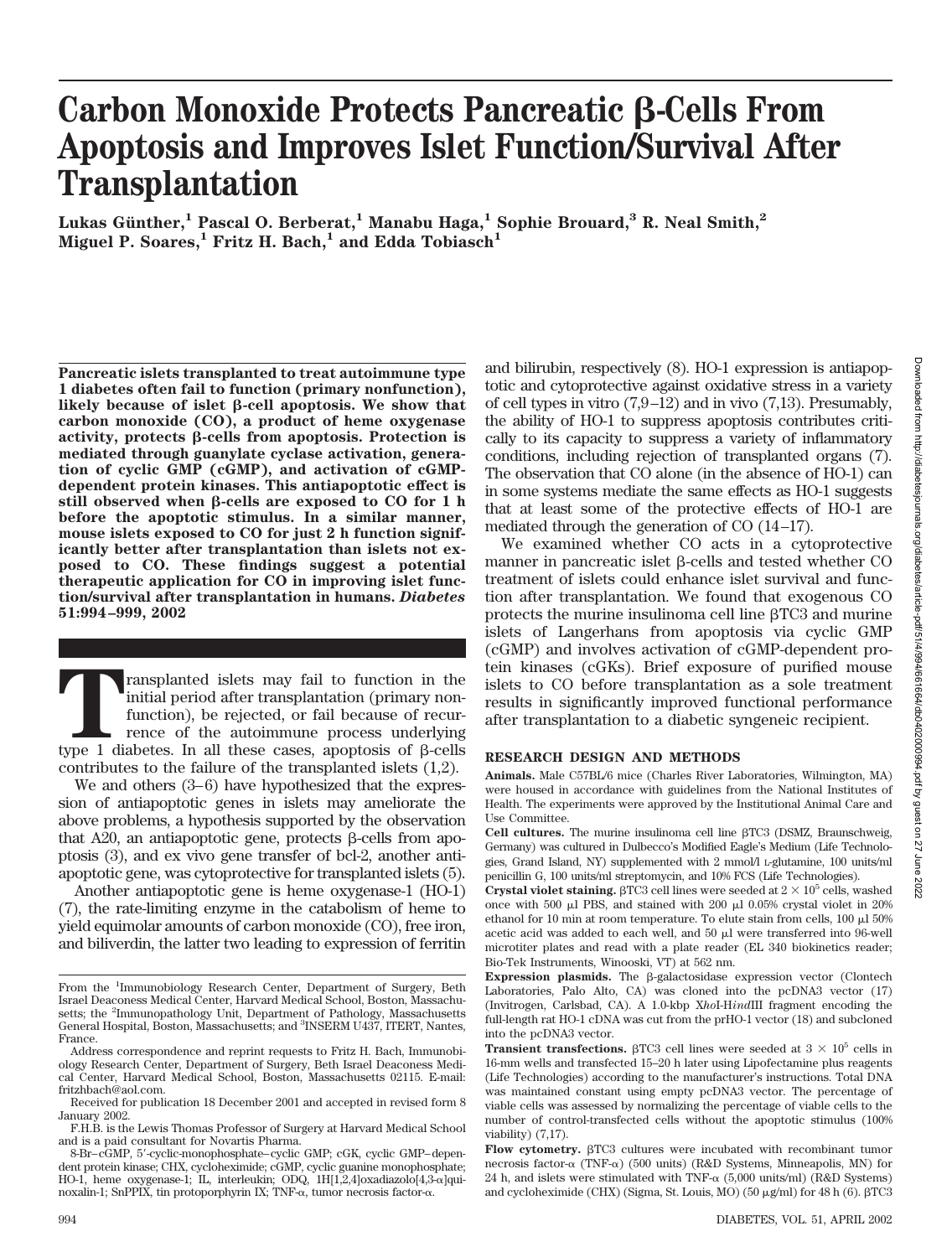# **Carbon Monoxide Protects Pancreatic ß-Cells From Apoptosis and Improves Islet Function/Survival After Transplantation**

Lukas Günther,<sup>1</sup> Pascal O. Berberat,<sup>1</sup> Manabu Haga,<sup>1</sup> Sophie Brouard,<sup>3</sup> R. Neal Smith,<sup>2</sup> Miguel P. Soares,<sup>1</sup> Fritz H. Bach,<sup>1</sup> and Edda Tobiasch<sup>1</sup>

**Pancreatic islets transplanted to treat autoimmune type 1 diabetes often fail to function (primary nonfunction),** likely because of islet  $\beta$ -cell apoptosis. We show that **carbon monoxide (CO), a product of heme oxygenase activity, protects β-cells from apoptosis. Protection is mediated through guanylate cyclase activation, generation of cyclic GMP (cGMP), and activation of cGMPdependent protein kinases. This antiapoptotic effect is** still observed when  $\beta$ -cells are exposed to CO for 1 h **before the apoptotic stimulus. In a similar manner, mouse islets exposed to CO for just 2 h function significantly better after transplantation than islets not exposed to CO. These findings suggest a potential therapeutic application for CO in improving islet function/survival after transplantation in humans.** *Diabetes* **51:994–999, 2002**

ransplanted islets may fail to function in the initial period after transplantation (primary nonfunction), be rejected, or fail because of recurrence of the autoimmune process underlying type 1 diabetes. In all these cases, apoptosis of  $\beta$ -cells contributes to the failure of the transplanted islets (1,2).

We and others (3–6) have hypothesized that the expression of antiapoptotic genes in islets may ameliorate the above problems, a hypothesis supported by the observation that A20, an antiapoptotic gene, protects  $\beta$ -cells from apoptosis (3), and ex vivo gene transfer of bcl-2, another antiapoptotic gene, was cytoprotective for transplanted islets (5).

Another antiapoptotic gene is heme oxygenase-1 (HO-1) (7), the rate-limiting enzyme in the catabolism of heme to yield equimolar amounts of carbon monoxide (CO), free iron, and biliverdin, the latter two leading to expression of ferritin and bilirubin, respectively (8). HO-1 expression is antiapoptotic and cytoprotective against oxidative stress in a variety of cell types in vitro (7,9–12) and in vivo (7,13). Presumably, the ability of HO-1 to suppress apoptosis contributes critically to its capacity to suppress a variety of inflammatory conditions, including rejection of transplanted organs (7). The observation that CO alone (in the absence of HO-1) can in some systems mediate the same effects as HO-1 suggests that at least some of the protective effects of HO-1 are mediated through the generation of CO (14–17).

We examined whether CO acts in a cytoprotective manner in pancreatic islet  $\beta$ -cells and tested whether CO treatment of islets could enhance islet survival and function after transplantation. We found that exogenous CO protects the murine insulinoma cell line  $\beta$ TC3 and murine islets of Langerhans from apoptosis via cyclic GMP (cGMP) and involves activation of cGMP-dependent protein kinases (cGKs). Brief exposure of purified mouse islets to CO before transplantation as a sole treatment results in significantly improved functional performance after transplantation to a diabetic syngeneic recipient.

## **RESEARCH DESIGN AND METHODS**

**Animals.** Male C57BL/6 mice (Charles River Laboratories, Wilmington, MA) were housed in accordance with guidelines from the National Institutes of Health. The experiments were approved by the Institutional Animal Care and Use Committee.

**Cell cultures.** The murine insulinoma cell line  $\beta$ TC3 (DSMZ, Braunschweig, Germany) was cultured in Dulbecco's Modified Eagle's Medium (Life Technologies, Grand Island, NY) supplemented with 2 mmol/l L-glutamine, 100 units/ml penicillin G, 100 units/ml streptomycin, and 10% FCS (Life Technologies).

**Crystal violet staining.**  $\beta$ TC3 cell lines were seeded at  $2 \times 10^5$  cells, washed once with 500  $\mu$ l PBS, and stained with 200  $\mu$ l 0.05% crystal violet in 20% ethanol for 10 min at room temperature. To elute stain from cells,  $100 \mu$ l 50% acetic acid was added to each well, and  $50 \mu l$  were transferred into  $96$ -well microtiter plates and read with a plate reader (EL 340 biokinetics reader; Bio-Tek Instruments, Winooski, VT) at 562 nm.

From the <sup>1</sup>Immunobiology Research Center, Department of Surgery, Beth Israel Deaconess Medical Center, Harvard Medical School, Boston, Massachusetts; the <sup>2</sup>Immunopathology Unit, Department of Pathology, Massachusetts General Hospital, Boston, Massachusetts; and <sup>3</sup>INSERM U437, ITERT, Nantes, France.

Address correspondence and reprint requests to Fritz H. Bach, Immunobiology Research Center, Department of Surgery, Beth Israel Deaconess Medical Center, Harvard Medical School, Boston, Massachusetts 02115. E-mail: fritzhbach@aol.com.

Received for publication 18 December 2001 and accepted in revised form 8 January 2002.

F.H.B. is the Lewis Thomas Professor of Surgery at Harvard Medical School and is a paid consultant for Novartis Pharma.

<sup>8-</sup>Br–cGMP, 5-cyclic-monophosphate–cyclic GMP; cGK, cyclic GMP–dependent protein kinase; CHX, cycloheximide; cGMP, cyclic guanine monophosphate; HO-1, heme oxygenase-1; IL, interleukin; ODQ, 1H[1,2,4]oxadiazolo[4,3- $\alpha$ ]quinoxalin-1; SnPPIX, tin protoporphyrin IX; TNF- $\alpha$ , tumor necrosis factor- $\alpha$ .

**Expression plasmids.** The  $\beta$ -galactosidase expression vector (Clontech Laboratories, Palo Alto, CA) was cloned into the pcDNA3 vector (17) (Invitrogen, Carlsbad, CA). A 1.0-kbp X*ho*I-H*ind*III fragment encoding the full-length rat HO-1 cDNA was cut from the prHO-1 vector (18) and subcloned into the pcDNA3 vector.

**Transient transfections.**  $\beta$ TC3 cell lines were seeded at  $3 \times 10^5$  cells in 16-mm wells and transfected 15–20 h later using Lipofectamine plus reagents (Life Technologies) according to the manufacturer's instructions. Total DNA was maintained constant using empty pcDNA3 vector. The percentage of viable cells was assessed by normalizing the percentage of viable cells to the number of control-transfected cells without the apoptotic stimulus (100% viability) (7,17).

**Flow cytometry.**  $\beta$ TC3 cultures were incubated with recombinant tumor necrosis factor- $\alpha$  (TNF- $\alpha$ ) (500 units) (R&D Systems, Minneapolis, MN) for 24 h, and islets were stimulated with TNF- $\alpha$  (5,000 units/ml) (R&D Systems) and cycloheximide (CHX) (Sigma, St. Louis, MO) (50  $\mu$ g/ml) for 48 h (6).  $\beta$ TC3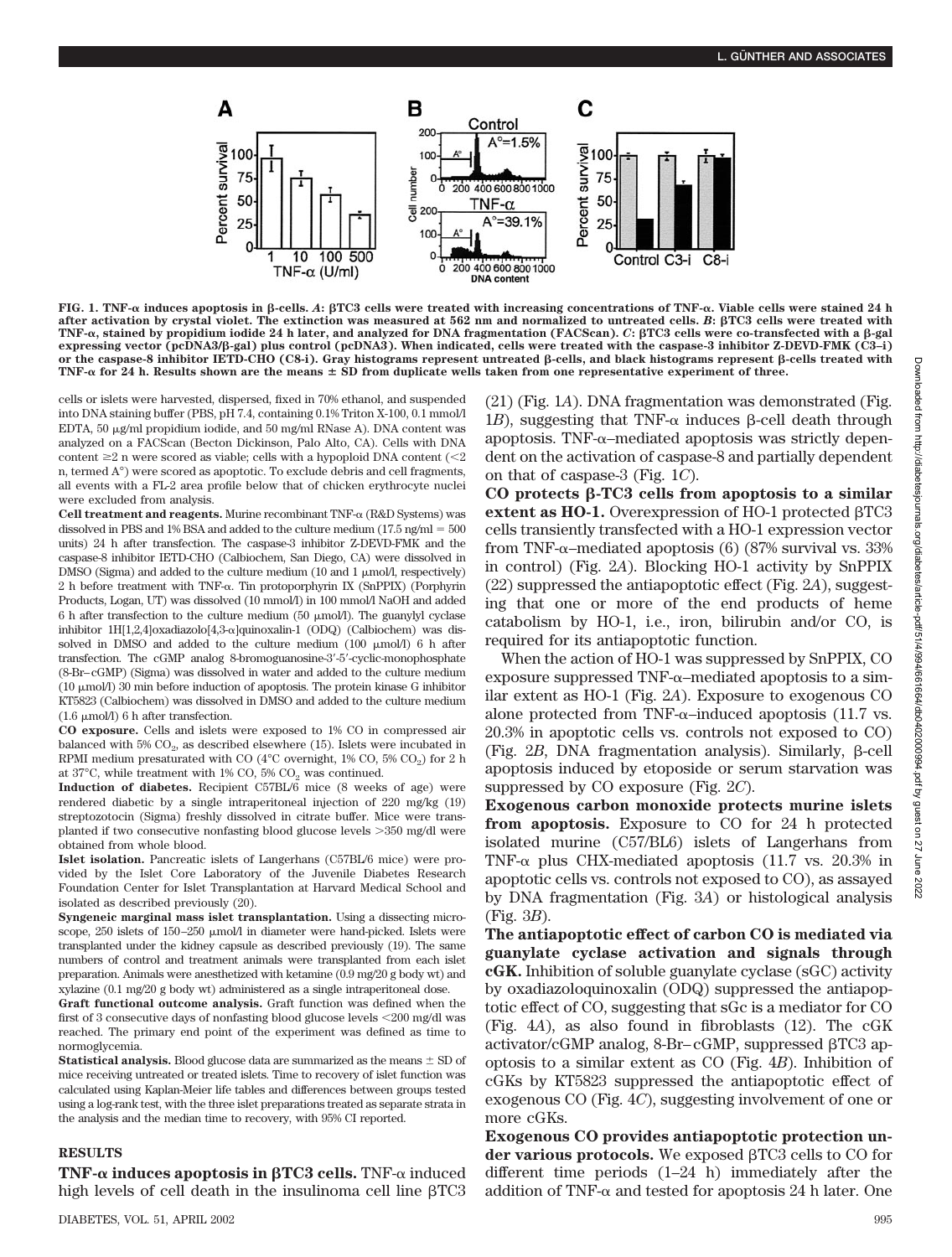

**FIG. 1. TNF-**α induces apoptosis in β-cells. A: βTC3 cells were treated with increasing concentrations of TNF-α. Viable cells were stained 24 h **after activation by crystal violet. The extinction was measured at 562 nm and normalized to untreated cells.** *B***: TC3 cells were treated with TNF-**-**, stained by propidium iodide 24 h later, and analyzed for DNA fragmentation (FACScan).** *C***: TC3 cells were co-transfected with a -gal expressing vector (pcDNA3/-gal) plus control (pcDNA3). When indicated, cells were treated with the caspase-3 inhibitor Z-DEVD-FMK (C3–i) or the caspase-8 inhibitor IETD-CHO (C8-i). Gray histograms represent untreated -cells, and black histograms represent -cells treated with TNF-**- **for 24 h. Results shown are the means SD from duplicate wells taken from one representative experiment of three.**

cells or islets were harvested, dispersed, fixed in 70% ethanol, and suspended into DNA staining buffer (PBS, pH 7.4, containing 0.1% Triton X-100, 0.1 mmol/l EDTA,  $50 \mu$ g/ml propidium iodide, and  $50 \mu$ g/ml RNase A). DNA content was analyzed on a FACScan (Becton Dickinson, Palo Alto, CA). Cells with DNA content  $\geq 2$  n were scored as viable; cells with a hypoploid DNA content ( $\leq 2$ ) n, termed A°) were scored as apoptotic. To exclude debris and cell fragments, all events with a FL-2 area profile below that of chicken erythrocyte nuclei were excluded from analysis.

**Cell treatment and reagents.** Murine recombinant  $TNF-\alpha$  (R&D Systems) was dissolved in PBS and 1% BSA and added to the culture medium ( $17.5$  ng/ml  $= 500$ ) units) 24 h after transfection. The caspase-3 inhibitor Z-DEVD-FMK and the caspase-8 inhibitor IETD-CHO (Calbiochem, San Diego, CA) were dissolved in DMSO (Sigma) and added to the culture medium (10 and 1  $\mu$ mol/l, respectively)  $2$  h before treatment with TNF- $\alpha$ . Tin protoporphyrin IX (SnPPIX) (Porphyrin Products, Logan, UT) was dissolved (10 mmol/l) in 100 mmol/l NaOH and added 6 h after transfection to the culture medium (50  $\mu$ mol/l). The guanylyl cyclase inhibitor 1H[1,2,4]oxadiazolo[4,3- $\alpha$ ]quinoxalin-1 (ODQ) (Calbiochem) was dissolved in DMSO and added to the culture medium  $(100 \mu \text{mol/l})$  6 h after transfection. The cGMP analog 8-bromoguanosine-3-5-cyclic-monophosphate (8-Br–cGMP) (Sigma) was dissolved in water and added to the culture medium (10  $\mu$ mol/l) 30 min before induction of apoptosis. The protein kinase G inhibitor KT5823 (Calbiochem) was dissolved in DMSO and added to the culture medium  $(1.6 \mu \text{mol/l})$  6 h after transfection.

**CO exposure.** Cells and islets were exposed to 1% CO in compressed air balanced with  $5\%$  CO<sub>2</sub>, as described elsewhere (15). Islets were incubated in RPMI medium presaturated with CO ( $4^{\circ}$ C overnight,  $1\%$  CO,  $5\%$  CO<sub>0</sub>) for 2 h at  $37^{\circ}$ C, while treatment with 1% CO, 5% CO<sub>2</sub> was continued.

**Induction of diabetes.** Recipient C57BL/6 mice (8 weeks of age) were rendered diabetic by a single intraperitoneal injection of 220 mg/kg (19) streptozotocin (Sigma) freshly dissolved in citrate buffer. Mice were transplanted if two consecutive nonfasting blood glucose levels 350 mg/dl were obtained from whole blood.

**Islet isolation.** Pancreatic islets of Langerhans (C57BL/6 mice) were provided by the Islet Core Laboratory of the Juvenile Diabetes Research Foundation Center for Islet Transplantation at Harvard Medical School and isolated as described previously (20).

**Syngeneic marginal mass islet transplantation.** Using a dissecting microscope, 250 islets of 150-250 µmol/l in diameter were hand-picked. Islets were transplanted under the kidney capsule as described previously (19). The same numbers of control and treatment animals were transplanted from each islet preparation. Animals were anesthetized with ketamine (0.9 mg/20 g body wt) and xylazine (0.1 mg/20 g body wt) administered as a single intraperitoneal dose.

**Graft functional outcome analysis.** Graft function was defined when the first of 3 consecutive days of nonfasting blood glucose levels 200 mg/dl was reached. The primary end point of the experiment was defined as time to normoglycemia.

**Statistical analysis.** Blood glucose data are summarized as the means  $\pm$  SD of mice receiving untreated or treated islets. Time to recovery of islet function was calculated using Kaplan-Meier life tables and differences between groups tested using a log-rank test, with the three islet preparations treated as separate strata in the analysis and the median time to recovery, with 95% CI reported.

#### **RESULTS**

**TNF-** $\alpha$  **induces apoptosis in**  $\beta$ **TC3 cells.** TNF- $\alpha$  induced high levels of cell death in the insulinoma cell line  $\beta$ TC3

DIABETES, VOL. 51, APRIL 2002 995

(21) (Fig. 1*A*). DNA fragmentation was demonstrated (Fig. 1*B*), suggesting that TNF- $\alpha$  induces  $\beta$ -cell death through apoptosis. TNF- $\alpha$ -mediated apoptosis was strictly dependent on the activation of caspase-8 and partially dependent on that of caspase-3 (Fig. 1*C*).

**CO protects -TC3 cells from apoptosis to a similar** extent as  $HO-1$ . Overexpression of HO-1 protected  $\beta$ TC3 cells transiently transfected with a HO-1 expression vector from TNF- $\alpha$ –mediated apoptosis (6) (87% survival vs. 33% in control) (Fig. 2*A*). Blocking HO-1 activity by SnPPIX (22) suppressed the antiapoptotic effect (Fig. 2*A*), suggesting that one or more of the end products of heme catabolism by HO-1, i.e., iron, bilirubin and/or CO, is required for its antiapoptotic function.

When the action of HO-1 was suppressed by SnPPIX, CO exposure suppressed TNF- $\alpha$ -mediated apoptosis to a similar extent as HO-1 (Fig. 2*A*). Exposure to exogenous CO alone protected from TNF- $\alpha$ -induced apoptosis (11.7 vs. 20.3% in apoptotic cells vs. controls not exposed to CO) (Fig.  $2B$ , DNA fragmentation analysis). Similarly,  $\beta$ -cell apoptosis induced by etoposide or serum starvation was suppressed by CO exposure (Fig. 2*C*).

**Exogenous carbon monoxide protects murine islets from apoptosis.** Exposure to CO for 24 h protected isolated murine (C57/BL6) islets of Langerhans from TNF- $\alpha$  plus CHX-mediated apoptosis (11.7 vs. 20.3% in apoptotic cells vs. controls not exposed to CO), as assayed by DNA fragmentation (Fig. 3*A*) or histological analysis (Fig. 3*B*).

**The antiapoptotic effect of carbon CO is mediated via guanylate cyclase activation and signals through cGK.** Inhibition of soluble guanylate cyclase (sGC) activity by oxadiazoloquinoxalin (ODQ) suppressed the antiapoptotic effect of CO, suggesting that sGc is a mediator for CO (Fig. 4*A*), as also found in fibroblasts (12). The cGK  $\arctivator/cGMP$  analog, 8-Br– $cGMP$ , suppressed  $\beta T C3$  apoptosis to a similar extent as CO (Fig. 4*B*). Inhibition of cGKs by KT5823 suppressed the antiapoptotic effect of exogenous CO (Fig. 4*C*), suggesting involvement of one or more cGKs.

**Exogenous CO provides antiapoptotic protection un**der various protocols. We exposed  $\beta$ TC3 cells to CO for different time periods (1–24 h) immediately after the addition of TNF- $\alpha$  and tested for apoptosis 24 h later. One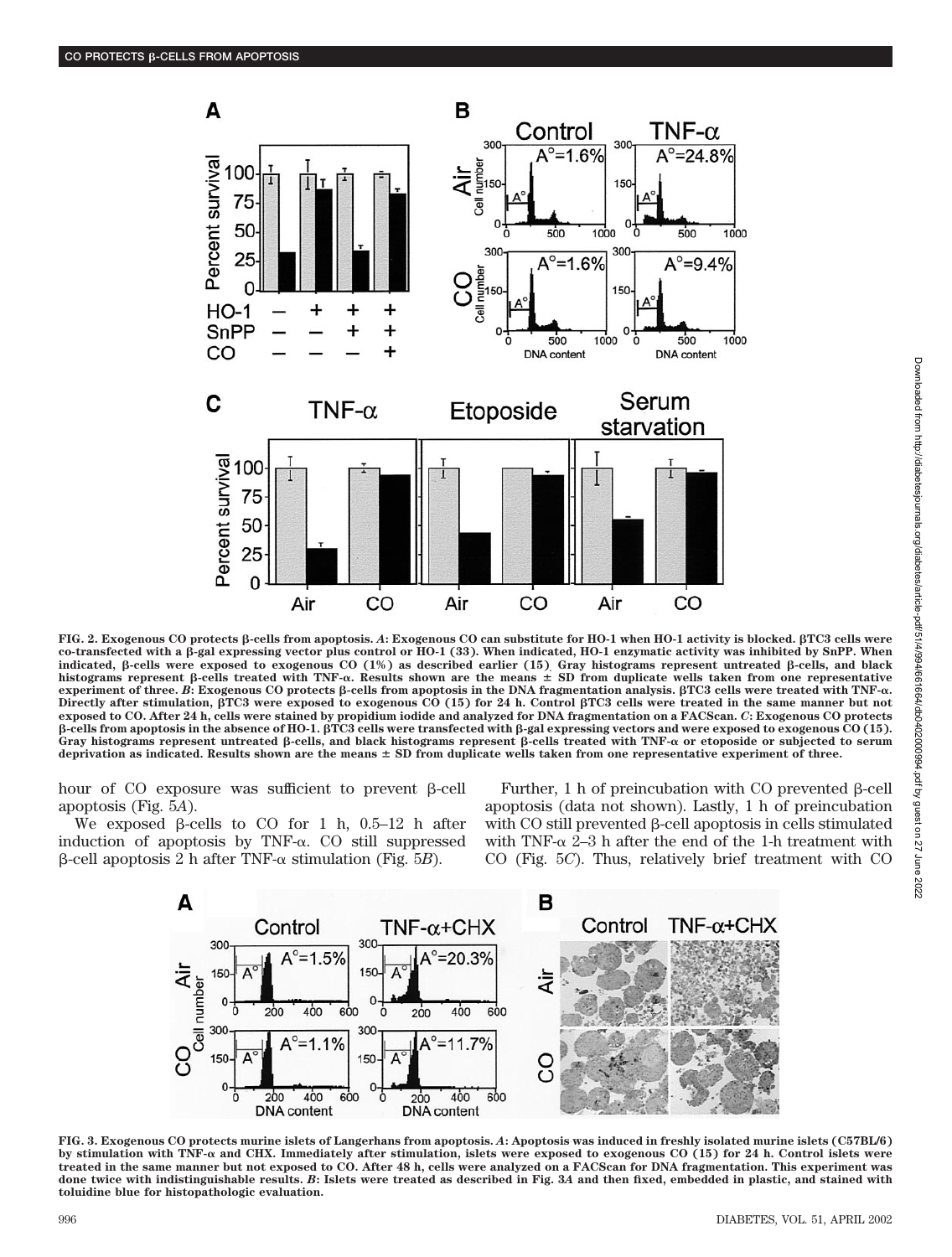

Downloaded from http://diabetesjournals.org/diabetes/article-pdf/51/4/994/661664/db0402000994.pdf by guest on 27 June 2022 Downloaded from http://diabetesjournals.org/diabetes/article-pdf/51/4/994/661664/db0402000994.pdf by guest on 27 June 2022

**FIG. 2. Exogenous CO protects -cells from apoptosis.** *A***: Exogenous CO can substitute for HO-1 when HO-1 activity is blocked. TC3 cells were co-transfected with a -gal expressing vector plus control or HO-1 (33). When indicated, HO-1 enzymatic activity was inhibited by SnPP. When indicated, -cells were exposed to exogenous CO (1%) as described earlier (15). Gray histograms represent untreated -cells, and black** histograms represent β-cells treated with TNF-α. Results shown are the means  $\pm$  SD from duplicate wells taken from one representative **experiment of three. B: Exogenous CO protects β-cells from apoptosis in the DNA fragmentation analysis. βTC3 cells were treated with TNF-α. Directly after stimulation, TC3 were exposed to exogenous CO (15) for 24 h. Control TC3 cells were treated in the same manner but not exposed to CO. After 24 h, cells were stained by propidium iodide and analyzed for DNA fragmentation on a FACScan.** *C***: Exogenous CO protects -cells from apoptosis in the absence of HO-1. TC3 cells were transfected with -gal expressing vectors and were exposed to exogenous CO (15).** Gray histograms represent untreated  $\beta$ -cells, and black histograms represent  $\beta$ -cells treated with TNF- $\alpha$  or etoposide or subjected to serum **deprivation as indicated. Results shown are the means SD from duplicate wells taken from one representative experiment of three.**

hour of CO exposure was sufficient to prevent  $\beta$ -cell apoptosis (Fig. 5*A*).

We exposed  $\beta$ -cells to CO for 1 h, 0.5–12 h after induction of apoptosis by TNF- $\alpha$ . CO still suppressed  $\beta$ -cell apoptosis 2 h after TNF- $\alpha$  stimulation (Fig. 5*B*).

Further, 1 h of preincubation with CO prevented  $\beta$ -cell apoptosis (data not shown). Lastly, 1 h of preincubation with  $CO$  still prevented  $\beta$ -cell apoptosis in cells stimulated with TNF- $\alpha$  2–3 h after the end of the 1-h treatment with CO (Fig. 5*C*). Thus, relatively brief treatment with CO



**FIG. 3. Exogenous CO protects murine islets of Langerhans from apoptosis.** *A***: Apoptosis was induced in freshly isolated murine islets (C57BL/6)** by stimulation with TNF-α and CHX. Immediately after stimulation, islets were exposed to exogenous CO (15) for 24 h. Control islets were **treated in the same manner but not exposed to CO. After 48 h, cells were analyzed on a FACScan for DNA fragmentation. This experiment was done twice with indistinguishable results.** *B***: Islets were treated as described in Fig. 3***A* **and then fixed, embedded in plastic, and stained with toluidine blue for histopathologic evaluation.**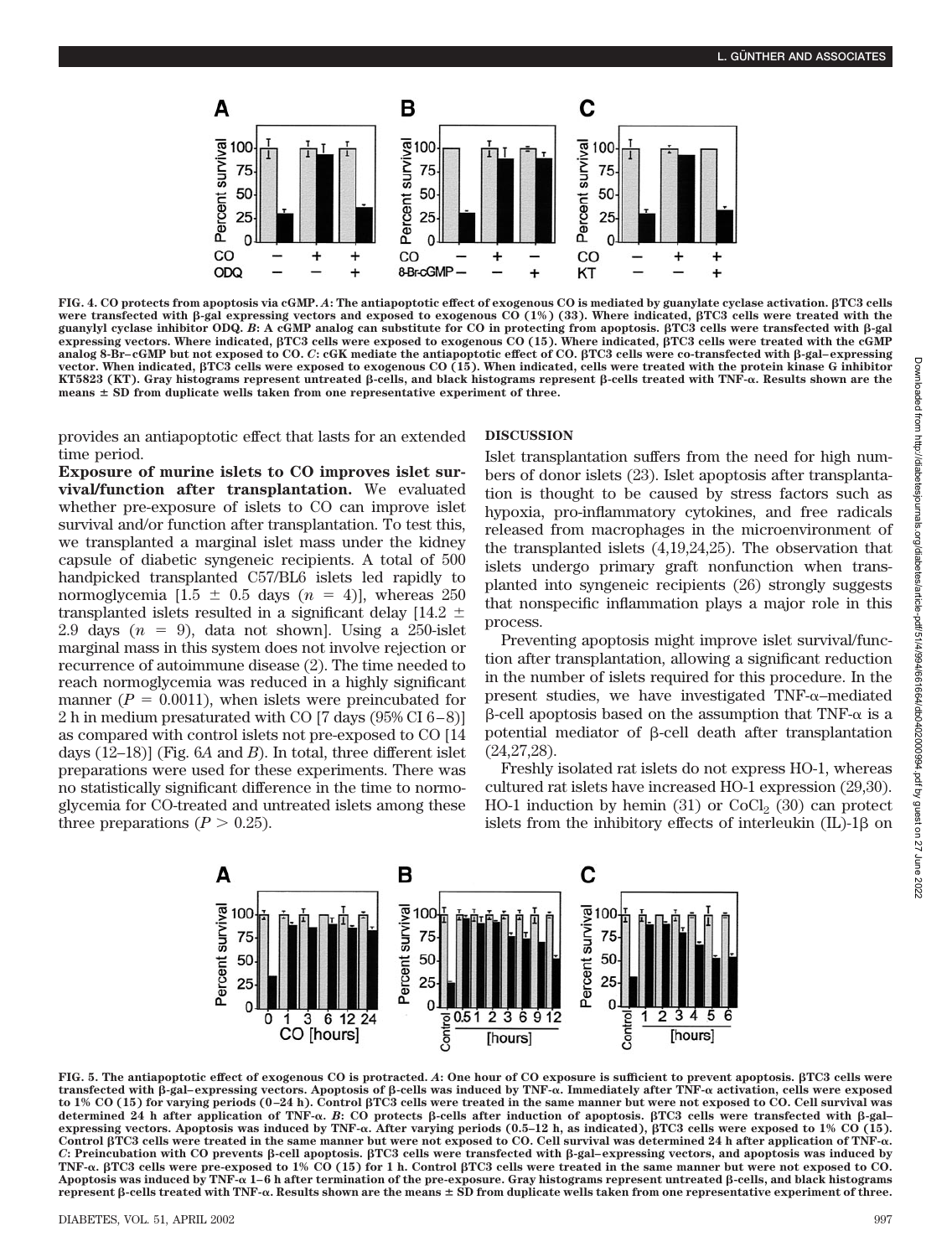

**FIG. 4. CO protects from apoptosis via cGMP.** *A***: The antiapoptotic effect of exogenous CO is mediated by guanylate cyclase activation. TC3 cells** were transfected with β-gal expressing vectors and exposed to exogenous CO (1%) (33). Where indicated,  $\beta$ TC3 cells were treated with the **guanylyl cyclase inhibitor ODQ.** *B***: A cGMP analog can substitute for CO in protecting from apoptosis. TC3 cells were transfected with -gal expressing vectors. Where indicated, TC3 cells were exposed to exogenous CO (15). Where indicated, TC3 cells were treated with the cGMP analog 8-Br–cGMP but not exposed to CO.** *C***: cGK mediate the antiapoptotic effect of CO. TC3 cells were co-transfected with -gal–expressing vector. When indicated, TC3 cells were exposed to exogenous CO (15). When indicated, cells were treated with the protein kinase G inhibitor KT5823 (KT).** Gray histograms represent untreated β-cells, and black histograms represent β-cells treated with TNF-α. Results shown are the **means SD from duplicate wells taken from one representative experiment of three.**

provides an antiapoptotic effect that lasts for an extended time period.

**Exposure of murine islets to CO improves islet survival/function after transplantation.** We evaluated whether pre-exposure of islets to CO can improve islet survival and/or function after transplantation. To test this, we transplanted a marginal islet mass under the kidney capsule of diabetic syngeneic recipients. A total of 500 handpicked transplanted C57/BL6 islets led rapidly to normoglycemia  $[1.5 \pm 0.5 \text{ days } (n = 4)]$ , whereas 250 transplanted islets resulted in a significant delay [14.2  $\pm$ 2.9 days  $(n = 9)$ , data not shown]. Using a 250-islet marginal mass in this system does not involve rejection or recurrence of autoimmune disease (2). The time needed to reach normoglycemia was reduced in a highly significant manner  $(P = 0.0011)$ , when islets were preincubated for 2 h in medium presaturated with CO [7 days (95% CI 6–8)] as compared with control islets not pre-exposed to CO [14 days (12–18)] (Fig. 6*A* and *B*). In total, three different islet preparations were used for these experiments. There was no statistically significant difference in the time to normoglycemia for CO-treated and untreated islets among these three preparations  $(P > 0.25)$ .

# **DISCUSSION**

Islet transplantation suffers from the need for high numbers of donor islets (23). Islet apoptosis after transplantation is thought to be caused by stress factors such as hypoxia, pro-inflammatory cytokines, and free radicals released from macrophages in the microenvironment of the transplanted islets (4,19,24,25). The observation that islets undergo primary graft nonfunction when transplanted into syngeneic recipients (26) strongly suggests that nonspecific inflammation plays a major role in this process.

Preventing apoptosis might improve islet survival/function after transplantation, allowing a significant reduction in the number of islets required for this procedure. In the present studies, we have investigated TNF- $\alpha$ -mediated  $\beta$ -cell apoptosis based on the assumption that TNF- $\alpha$  is a potential mediator of  $\beta$ -cell death after transplantation (24,27,28).

Freshly isolated rat islets do not express HO-1, whereas cultured rat islets have increased HO-1 expression (29,30). HO-1 induction by hemin  $(31)$  or CoCl<sub>2</sub>  $(30)$  can protect islets from the inhibitory effects of interleukin  $(IL)$ -1 $\beta$  on



**FIG. 5. The antiapoptotic effect of exogenous CO is protracted.** *A***: One hour of CO exposure is sufficient to prevent apoptosis. TC3 cells were transfected with -gal–expressing vectors. Apoptosis of -cells was induced by TNF-**-**. Immediately after TNF-**- **activation, cells were exposed to 1% CO (15) for varying periods (0–24 h). Control TC3 cells were treated in the same manner but were not exposed to CO. Cell survival was** determined 24 h after application of TNF- $\alpha$ . B: CO protects  $\beta$ -cells after induction of apoptosis.  $\beta$ TC3 cells were transfected with  $\beta$ -gal– expressing vectors. Apoptosis was induced by TNF-α. After varying periods (0.5–12 h, as indicated), βTC3 cells were exposed to 1% CO (15). **Control TC3 cells were treated in the same manner but were not exposed to CO. Cell survival was determined 24 h after application of TNF-**-**.** *C***: Preincubation with CO prevents -cell apoptosis. TC3 cells were transfected with -gal–expressing vectors, and apoptosis was induced by TNF-**-**. TC3 cells were pre-exposed to 1% CO (15) for 1 h. Control TC3 cells were treated in the same manner but were not exposed to CO.** Apoptosis was induced by TNF-α 1–6 h after termination of the pre-exposure. Gray histograms represent untreated β-cells, and black histograms **represent -cells treated with TNF-**-**. Results shown are the means SD from duplicate wells taken from one representative experiment of three.**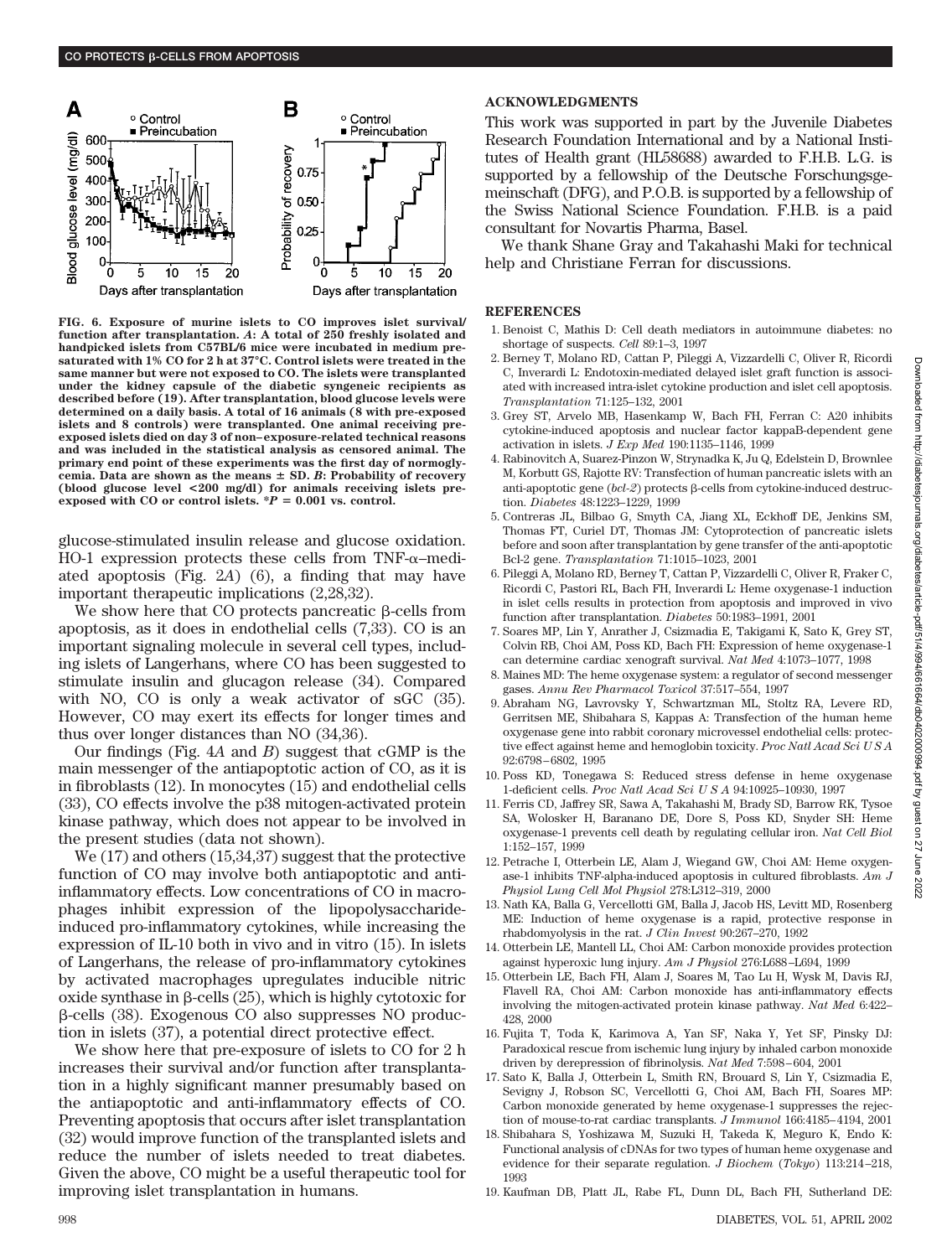

**FIG. 6. Exposure of murine islets to CO improves islet survival/ function after transplantation.** *A***: A total of 250 freshly isolated and handpicked islets from C57BL/6 mice were incubated in medium presaturated with 1% CO for 2 h at 37°C. Control islets were treated in the same manner but were not exposed to CO. The islets were transplanted under the kidney capsule of the diabetic syngeneic recipients as described before (19). After transplantation, blood glucose levels were determined on a daily basis. A total of 16 animals (8 with pre-exposed islets and 8 controls) were transplanted. One animal receiving preexposed islets died on day 3 of non–exposure-related technical reasons and was included in the statistical analysis as censored animal. The primary end point of these experiments was the first day of normogly**cemia. Data are shown as the means  $\pm$  SD. *B*: Probability of recovery **(blood glucose level <200 mg/dl) for animals receiving islets pre**exposed with CO or control islets.  $*P = 0.001$  vs. control.

glucose-stimulated insulin release and glucose oxidation. HO-1 expression protects these cells from TNF- $\alpha$ -mediated apoptosis (Fig. 2*A*) (6), a finding that may have important therapeutic implications (2,28,32).

We show here that CO protects pancreatic  $\beta$ -cells from apoptosis, as it does in endothelial cells (7,33). CO is an important signaling molecule in several cell types, including islets of Langerhans, where CO has been suggested to stimulate insulin and glucagon release (34). Compared with NO, CO is only a weak activator of sGC (35). However, CO may exert its effects for longer times and thus over longer distances than NO (34,36).

Our findings (Fig. 4*A* and *B*) suggest that cGMP is the main messenger of the antiapoptotic action of CO, as it is in fibroblasts (12). In monocytes (15) and endothelial cells (33), CO effects involve the p38 mitogen-activated protein kinase pathway, which does not appear to be involved in the present studies (data not shown).

We (17) and others (15,34,37) suggest that the protective function of CO may involve both antiapoptotic and antiinflammatory effects. Low concentrations of CO in macrophages inhibit expression of the lipopolysaccharideinduced pro-inflammatory cytokines, while increasing the expression of IL-10 both in vivo and in vitro (15). In islets of Langerhans, the release of pro-inflammatory cytokines by activated macrophages upregulates inducible nitric oxide synthase in  $\beta$ -cells (25), which is highly cytotoxic for -cells (38). Exogenous CO also suppresses NO production in islets (37), a potential direct protective effect.

We show here that pre-exposure of islets to CO for 2 h increases their survival and/or function after transplantation in a highly significant manner presumably based on the antiapoptotic and anti-inflammatory effects of CO. Preventing apoptosis that occurs after islet transplantation (32) would improve function of the transplanted islets and reduce the number of islets needed to treat diabetes. Given the above, CO might be a useful therapeutic tool for improving islet transplantation in humans.

## **ACKNOWLEDGMENTS**

This work was supported in part by the Juvenile Diabetes Research Foundation International and by a National Institutes of Health grant (HL58688) awarded to F.H.B. L.G. is supported by a fellowship of the Deutsche Forschungsgemeinschaft (DFG), and P.O.B. is supported by a fellowship of the Swiss National Science Foundation. F.H.B. is a paid consultant for Novartis Pharma, Basel.

We thank Shane Gray and Takahashi Maki for technical help and Christiane Ferran for discussions.

### **REFERENCES**

- 1. Benoist C, Mathis D: Cell death mediators in autoimmune diabetes: no shortage of suspects. *Cell* 89:1–3, 1997
- 2. Berney T, Molano RD, Cattan P, Pileggi A, Vizzardelli C, Oliver R, Ricordi C, Inverardi L: Endotoxin-mediated delayed islet graft function is associated with increased intra-islet cytokine production and islet cell apoptosis. *Transplantation* 71:125–132, 2001
- 3. Grey ST, Arvelo MB, Hasenkamp W, Bach FH, Ferran C: A20 inhibits cytokine-induced apoptosis and nuclear factor kappaB-dependent gene activation in islets. *J Exp Med* 190:1135–1146, 1999
- 4. Rabinovitch A, Suarez-Pinzon W, Strynadka K, Ju Q, Edelstein D, Brownlee M, Korbutt GS, Rajotte RV: Transfection of human pancreatic islets with an anti-apoptotic gene  $(bcl-2)$  protects  $\beta$ -cells from cytokine-induced destruction. *Diabetes* 48:1223–1229, 1999
- 5. Contreras JL, Bilbao G, Smyth CA, Jiang XL, Eckhoff DE, Jenkins SM, Thomas FT, Curiel DT, Thomas JM: Cytoprotection of pancreatic islets before and soon after transplantation by gene transfer of the anti-apoptotic Bcl-2 gene. *Transplantation* 71:1015–1023, 2001
- 6. Pileggi A, Molano RD, Berney T, Cattan P, Vizzardelli C, Oliver R, Fraker C, Ricordi C, Pastori RL, Bach FH, Inverardi L: Heme oxygenase-1 induction in islet cells results in protection from apoptosis and improved in vivo function after transplantation. *Diabetes* 50:1983–1991, 2001
- 7. Soares MP, Lin Y, Anrather J, Csizmadia E, Takigami K, Sato K, Grey ST, Colvin RB, Choi AM, Poss KD, Bach FH: Expression of heme oxygenase-1 can determine cardiac xenograft survival. *Nat Med* 4:1073–1077, 1998
- 8. Maines MD: The heme oxygenase system: a regulator of second messenger gases. *Annu Rev Pharmacol Toxicol* 37:517–554, 1997
- 9. Abraham NG, Lavrovsky Y, Schwartzman ML, Stoltz RA, Levere RD, Gerritsen ME, Shibahara S, Kappas A: Transfection of the human heme oxygenase gene into rabbit coronary microvessel endothelial cells: protective effect against heme and hemoglobin toxicity. *Proc Natl Acad Sci USA* 92:6798–6802, 1995
- 10. Poss KD, Tonegawa S: Reduced stress defense in heme oxygenase 1-deficient cells. *Proc Natl Acad SciUSA* 94:10925–10930, 1997
- 11. Ferris CD, Jaffrey SR, Sawa A, Takahashi M, Brady SD, Barrow RK, Tysoe SA, Wolosker H, Baranano DE, Dore S, Poss KD, Snyder SH: Heme oxygenase-1 prevents cell death by regulating cellular iron. *Nat Cell Biol* 1:152–157, 1999
- 12. Petrache I, Otterbein LE, Alam J, Wiegand GW, Choi AM: Heme oxygenase-1 inhibits TNF-alpha-induced apoptosis in cultured fibroblasts. *Am J Physiol Lung Cell Mol Physiol* 278:L312–319, 2000
- 13. Nath KA, Balla G, Vercellotti GM, Balla J, Jacob HS, Levitt MD, Rosenberg ME: Induction of heme oxygenase is a rapid, protective response in rhabdomyolysis in the rat. *J Clin Invest* 90:267–270, 1992
- 14. Otterbein LE, Mantell LL, Choi AM: Carbon monoxide provides protection against hyperoxic lung injury. *Am J Physiol* 276:L688–L694, 1999
- 15. Otterbein LE, Bach FH, Alam J, Soares M, Tao Lu H, Wysk M, Davis RJ, Flavell RA, Choi AM: Carbon monoxide has anti-inflammatory effects involving the mitogen-activated protein kinase pathway. *Nat Med* 6:422– 428, 2000
- 16. Fujita T, Toda K, Karimova A, Yan SF, Naka Y, Yet SF, Pinsky DJ: Paradoxical rescue from ischemic lung injury by inhaled carbon monoxide driven by derepression of fibrinolysis. *Nat Med* 7:598–604, 2001
- 17. Sato K, Balla J, Otterbein L, Smith RN, Brouard S, Lin Y, Csizmadia E, Sevigny J, Robson SC, Vercellotti G, Choi AM, Bach FH, Soares MP: Carbon monoxide generated by heme oxygenase-1 suppresses the rejection of mouse-to-rat cardiac transplants. *J Immunol* 166:4185–4194, 2001
- 18. Shibahara S, Yoshizawa M, Suzuki H, Takeda K, Meguro K, Endo K: Functional analysis of cDNAs for two types of human heme oxygenase and evidence for their separate regulation. *J Biochem* (*Tokyo*) 113:214–218, 1993
- 19. Kaufman DB, Platt JL, Rabe FL, Dunn DL, Bach FH, Sutherland DE: